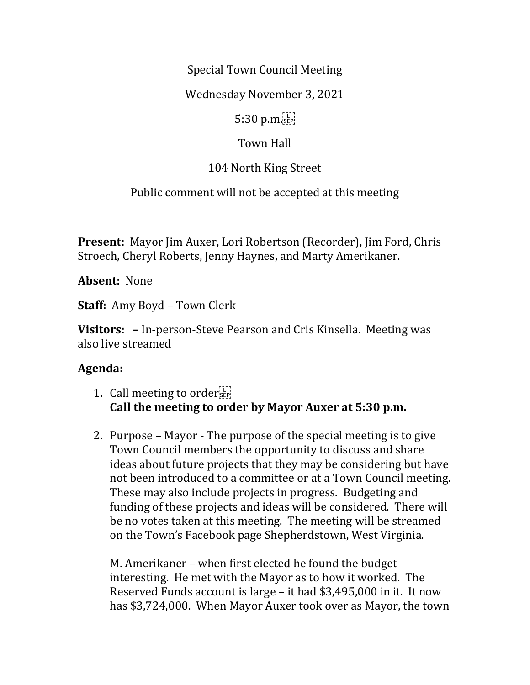Special Town Council Meeting

Wednesday November 3, 2021

 $5:30$  p.m. $\frac{1}{15}$ 

## Town Hall

## 104 North King Street

Public comment will not be accepted at this meeting

**Present:** Mayor Jim Auxer, Lori Robertson (Recorder), Jim Ford, Chris Stroech, Cheryl Roberts, Jenny Haynes, and Marty Amerikaner.

**Absent:** None

**Staff:** Amy Boyd – Town Clerk

**Visitors: –** In-person-Steve Pearson and Cris Kinsella. Meeting was also live streamed

## **Agenda:**

- 1. Call meeting to order $\frac{1}{35}$ **Call the meeting to order by Mayor Auxer at 5:30 p.m.**
- 2. Purpose Mayor The purpose of the special meeting is to give Town Council members the opportunity to discuss and share ideas about future projects that they may be considering but have not been introduced to a committee or at a Town Council meeting. These may also include projects in progress. Budgeting and funding of these projects and ideas will be considered. There will be no votes taken at this meeting. The meeting will be streamed on the Town's Facebook page Shepherdstown, West Virginia.

M. Amerikaner – when first elected he found the budget interesting. He met with the Mayor as to how it worked. The Reserved Funds account is large – it had \$3,495,000 in it. It now has \$3,724,000. When Mayor Auxer took over as Mayor, the town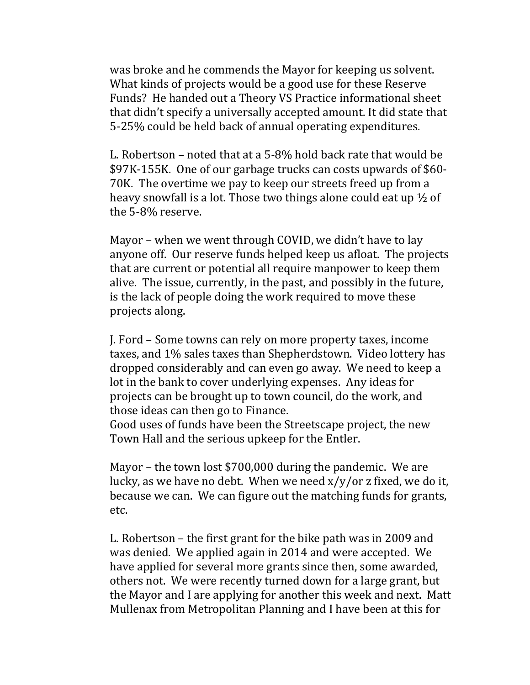was broke and he commends the Mayor for keeping us solvent. What kinds of projects would be a good use for these Reserve Funds? He handed out a Theory VS Practice informational sheet that didn't specify a universally accepted amount. It did state that 5-25% could be held back of annual operating expenditures.

L. Robertson – noted that at a 5-8% hold back rate that would be \$97K-155K. One of our garbage trucks can costs upwards of \$60- 70K. The overtime we pay to keep our streets freed up from a heavy snowfall is a lot. Those two things alone could eat up ½ of the 5-8% reserve.

Mayor – when we went through COVID, we didn't have to lay anyone off. Our reserve funds helped keep us afloat. The projects that are current or potential all require manpower to keep them alive. The issue, currently, in the past, and possibly in the future, is the lack of people doing the work required to move these projects along.

J. Ford – Some towns can rely on more property taxes, income taxes, and 1% sales taxes than Shepherdstown. Video lottery has dropped considerably and can even go away. We need to keep a lot in the bank to cover underlying expenses. Any ideas for projects can be brought up to town council, do the work, and those ideas can then go to Finance.

Good uses of funds have been the Streetscape project, the new Town Hall and the serious upkeep for the Entler.

Mayor – the town lost \$700,000 during the pandemic. We are lucky, as we have no debt. When we need  $x/y/$  or z fixed, we do it, because we can. We can figure out the matching funds for grants, etc.

L. Robertson – the first grant for the bike path was in 2009 and was denied. We applied again in 2014 and were accepted. We have applied for several more grants since then, some awarded, others not. We were recently turned down for a large grant, but the Mayor and I are applying for another this week and next. Matt Mullenax from Metropolitan Planning and I have been at this for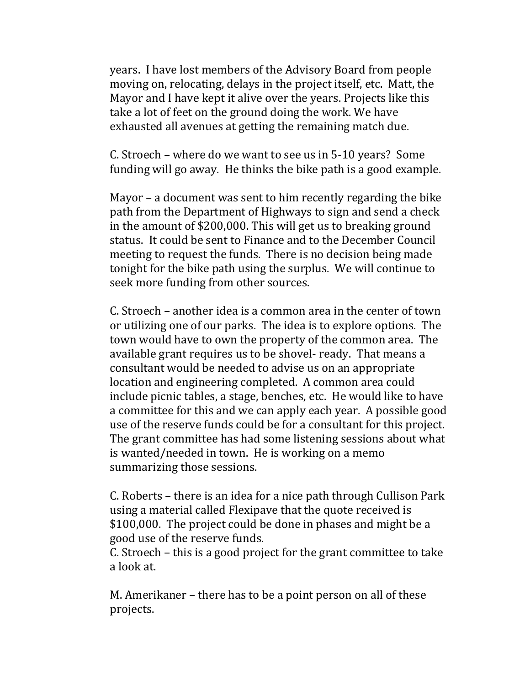years. I have lost members of the Advisory Board from people moving on, relocating, delays in the project itself, etc. Matt, the Mayor and I have kept it alive over the years. Projects like this take a lot of feet on the ground doing the work. We have exhausted all avenues at getting the remaining match due.

C. Stroech – where do we want to see us in 5-10 years? Some funding will go away. He thinks the bike path is a good example.

Mayor – a document was sent to him recently regarding the bike path from the Department of Highways to sign and send a check in the amount of \$200,000. This will get us to breaking ground status. It could be sent to Finance and to the December Council meeting to request the funds. There is no decision being made tonight for the bike path using the surplus. We will continue to seek more funding from other sources.

C. Stroech – another idea is a common area in the center of town or utilizing one of our parks. The idea is to explore options. The town would have to own the property of the common area. The available grant requires us to be shovel- ready. That means a consultant would be needed to advise us on an appropriate location and engineering completed. A common area could include picnic tables, a stage, benches, etc. He would like to have a committee for this and we can apply each year. A possible good use of the reserve funds could be for a consultant for this project. The grant committee has had some listening sessions about what is wanted/needed in town. He is working on a memo summarizing those sessions.

C. Roberts – there is an idea for a nice path through Cullison Park using a material called Flexipave that the quote received is \$100,000. The project could be done in phases and might be a good use of the reserve funds.

C. Stroech – this is a good project for the grant committee to take a look at.

M. Amerikaner – there has to be a point person on all of these projects.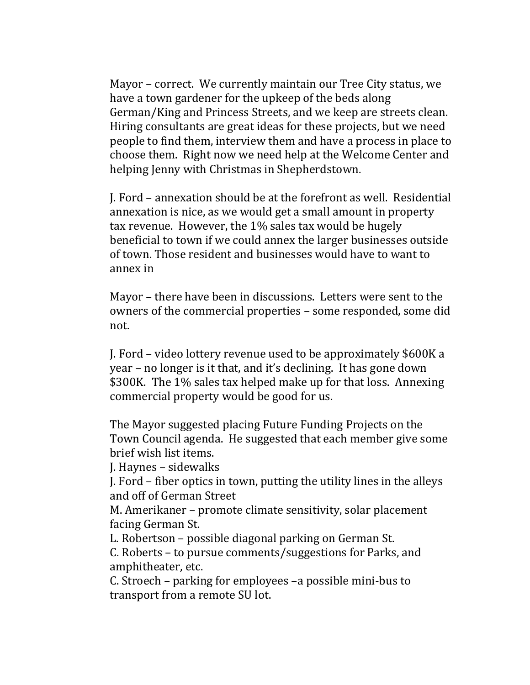Mayor – correct. We currently maintain our Tree City status, we have a town gardener for the upkeep of the beds along German/King and Princess Streets, and we keep are streets clean. Hiring consultants are great ideas for these projects, but we need people to find them, interview them and have a process in place to choose them. Right now we need help at the Welcome Center and helping Jenny with Christmas in Shepherdstown.

J. Ford – annexation should be at the forefront as well. Residential annexation is nice, as we would get a small amount in property tax revenue. However, the 1% sales tax would be hugely beneficial to town if we could annex the larger businesses outside of town. Those resident and businesses would have to want to annex in

Mayor – there have been in discussions. Letters were sent to the owners of the commercial properties – some responded, some did not.

J. Ford – video lottery revenue used to be approximately \$600K a year – no longer is it that, and it's declining. It has gone down \$300K. The 1% sales tax helped make up for that loss. Annexing commercial property would be good for us.

The Mayor suggested placing Future Funding Projects on the Town Council agenda. He suggested that each member give some brief wish list items.

J. Haynes – sidewalks

J. Ford – fiber optics in town, putting the utility lines in the alleys and off of German Street

M. Amerikaner – promote climate sensitivity, solar placement facing German St.

L. Robertson – possible diagonal parking on German St.

C. Roberts – to pursue comments/suggestions for Parks, and amphitheater, etc.

C. Stroech – parking for employees –a possible mini-bus to transport from a remote SU lot.